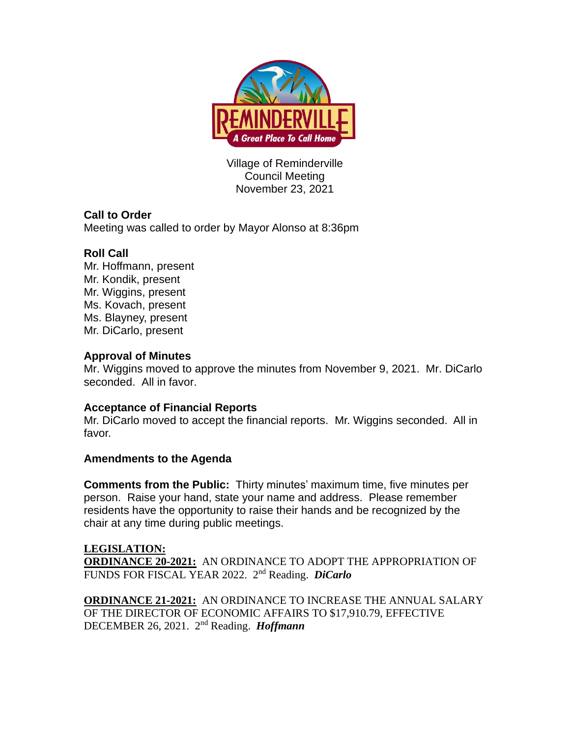

Village of Reminderville Council Meeting November 23, 2021

# **Call to Order**

Meeting was called to order by Mayor Alonso at 8:36pm

## **Roll Call**

Mr. Hoffmann, present Mr. Kondik, present Mr. Wiggins, present Ms. Kovach, present Ms. Blayney, present Mr. DiCarlo, present

### **Approval of Minutes**

Mr. Wiggins moved to approve the minutes from November 9, 2021. Mr. DiCarlo seconded. All in favor.

### **Acceptance of Financial Reports**

Mr. DiCarlo moved to accept the financial reports. Mr. Wiggins seconded. All in favor.

### **Amendments to the Agenda**

**Comments from the Public:** Thirty minutes' maximum time, five minutes per person. Raise your hand, state your name and address. Please remember residents have the opportunity to raise their hands and be recognized by the chair at any time during public meetings.

**LEGISLATION: ORDINANCE 20-2021:** AN ORDINANCE TO ADOPT THE APPROPRIATION OF FUNDS FOR FISCAL YEAR 2022. 2 nd Reading. *DiCarlo*

**ORDINANCE 21-2021:** AN ORDINANCE TO INCREASE THE ANNUAL SALARY OF THE DIRECTOR OF ECONOMIC AFFAIRS TO \$17,910.79, EFFECTIVE DECEMBER 26, 2021. 2<sup>nd</sup> Reading. *Hoffmann*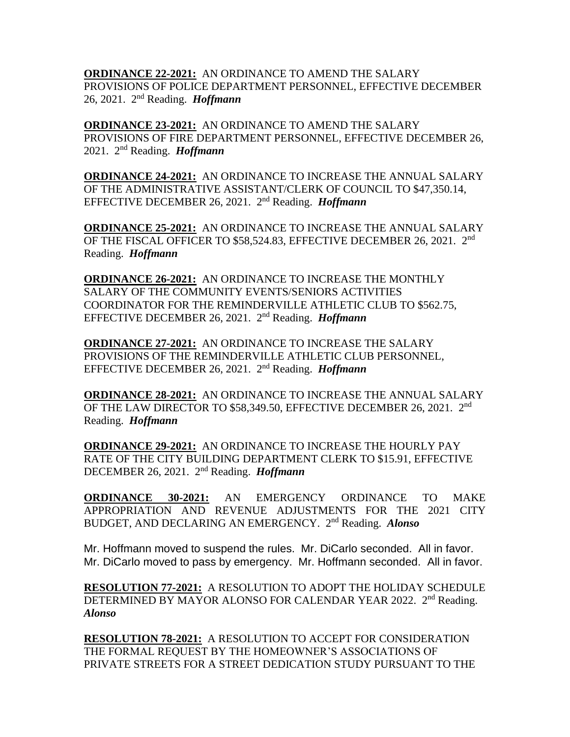**ORDINANCE 22-2021:** AN ORDINANCE TO AMEND THE SALARY PROVISIONS OF POLICE DEPARTMENT PERSONNEL, EFFECTIVE DECEMBER 26, 2021. 2 nd Reading. *Hoffmann*

**ORDINANCE 23-2021:** AN ORDINANCE TO AMEND THE SALARY PROVISIONS OF FIRE DEPARTMENT PERSONNEL, EFFECTIVE DECEMBER 26, 2021. 2 nd Reading. *Hoffmann*

**ORDINANCE 24-2021:** AN ORDINANCE TO INCREASE THE ANNUAL SALARY OF THE ADMINISTRATIVE ASSISTANT/CLERK OF COUNCIL TO \$47,350.14, EFFECTIVE DECEMBER 26, 2021. 2<sup>nd</sup> Reading. *Hoffmann* 

**ORDINANCE 25-2021:** AN ORDINANCE TO INCREASE THE ANNUAL SALARY OF THE FISCAL OFFICER TO \$58,524.83, EFFECTIVE DECEMBER 26, 2021. 2<sup>nd</sup> Reading. *Hoffmann*

**ORDINANCE 26-2021:** AN ORDINANCE TO INCREASE THE MONTHLY SALARY OF THE COMMUNITY EVENTS/SENIORS ACTIVITIES COORDINATOR FOR THE REMINDERVILLE ATHLETIC CLUB TO \$562.75, EFFECTIVE DECEMBER 26, 2021. 2<sup>nd</sup> Reading. *Hoffmann* 

**ORDINANCE 27-2021:** AN ORDINANCE TO INCREASE THE SALARY PROVISIONS OF THE REMINDERVILLE ATHLETIC CLUB PERSONNEL, EFFECTIVE DECEMBER 26, 2021. 2<sup>nd</sup> Reading. *Hoffmann* 

**ORDINANCE 28-2021:** AN ORDINANCE TO INCREASE THE ANNUAL SALARY OF THE LAW DIRECTOR TO \$58,349.50, EFFECTIVE DECEMBER 26, 2021. 2<sup>nd</sup> Reading. *Hoffmann*

**ORDINANCE 29-2021:** AN ORDINANCE TO INCREASE THE HOURLY PAY RATE OF THE CITY BUILDING DEPARTMENT CLERK TO \$15.91, EFFECTIVE DECEMBER 26, 2021. 2<sup>nd</sup> Reading. *Hoffmann* 

**ORDINANCE 30-2021:** AN EMERGENCY ORDINANCE TO MAKE APPROPRIATION AND REVENUE ADJUSTMENTS FOR THE 2021 CITY BUDGET, AND DECLARING AN EMERGENCY. 2<sup>nd</sup> Reading. Alonso

Mr. Hoffmann moved to suspend the rules. Mr. DiCarlo seconded. All in favor. Mr. DiCarlo moved to pass by emergency. Mr. Hoffmann seconded. All in favor.

**RESOLUTION 77-2021:** A RESOLUTION TO ADOPT THE HOLIDAY SCHEDULE DETERMINED BY MAYOR ALONSO FOR CALENDAR YEAR 2022. 2<sup>nd</sup> Reading. *Alonso* 

**RESOLUTION 78-2021:** A RESOLUTION TO ACCEPT FOR CONSIDERATION THE FORMAL REQUEST BY THE HOMEOWNER'S ASSOCIATIONS OF PRIVATE STREETS FOR A STREET DEDICATION STUDY PURSUANT TO THE